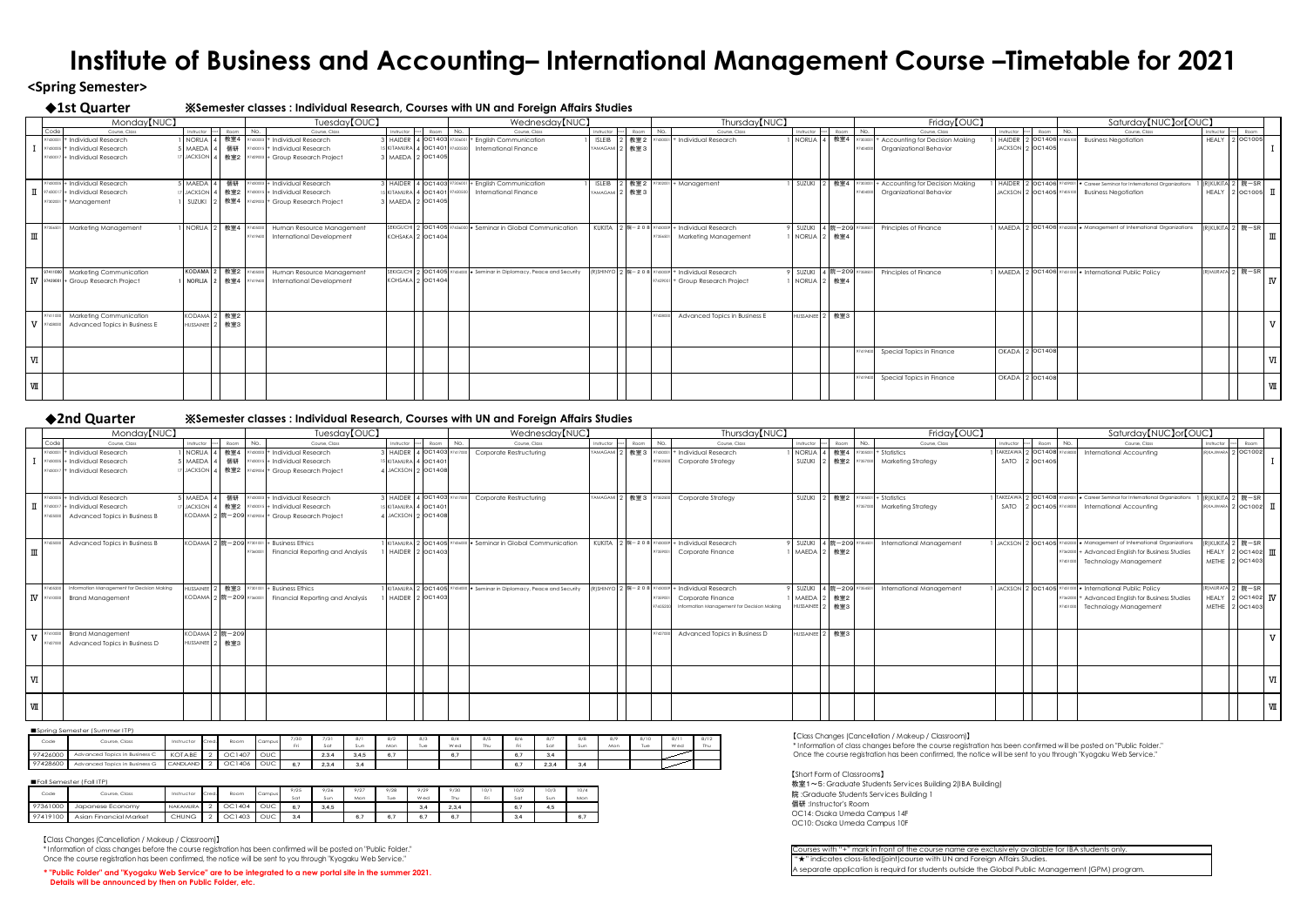## **<Spring Semester>**

### ◆**1st Quarter** ※**Semester classes : Individual Research, Courses with UN and Foreign Affairs Studies**

# ◆**2nd Quarter** ※**Semester classes : Individual Research, Courses with UN and Foreign Affairs Studies** 7430017 + Individual Research 17 JACKSON 4 | 教室2 | 97429004 + Group Research Project 4 | JACKSON 2 | 0C1408 | <sup>97425000</sup> Advanced Topics in Business B KODAMA 2 院-209 <sup>97429004</sup> + Group Research Project 4 JACKSON 2 OC1408 Advanced Topics in Business B KODAMA 2 院-209 97301001 + Business Ethics 1 KITAMURA 2 OC1405 97436000 \* Seminar <sup>97410000</sup> Brand Management KODAMA 2 院-209 <sup>97427000</sup> Advanced Topics in Business D HUSSAINEE 2 教室3 <sup>7427000</sup> Advanced Topics in Business D | HUSSAINEE 2 | 教室3

|                                       |                    | Monday <sup>[NUC]</sup>          |                        |       |      |            | Tuesday <sup>[OUC]</sup>              |                                 |      |         | Wednesday <sup>[NUC]</sup>                                             |                |                  |         | Thursday <sup>[NUC]</sup>                        |                  |        |
|---------------------------------------|--------------------|----------------------------------|------------------------|-------|------|------------|---------------------------------------|---------------------------------|------|---------|------------------------------------------------------------------------|----------------|------------------|---------|--------------------------------------------------|------------------|--------|
|                                       | Code               | Course, Class                    | Instructor             | Cred. | Room | No.        | Course, Class                         | Instructor Cred.                | Room | No.     | Course, Class                                                          | Instructor     | Room             | No.     | Course, Class                                    | Instructor       | Room   |
|                                       | 97430001           | + Individual Research            | NORLIA 4               |       | 教室4  |            | 7430003 + Individual Research         | 3   HAIDER   4   OC1403 9730600 |      |         | + English Communication                                                | <b>ISLEIB</b>  | 2 教室 2           | 743000  | + Individual Research                            | NORLIA           | 教室4    |
|                                       |                    | $97430005$ + Individual Research | 5 MAEDA 4              |       | 個研   |            | 97430015 + Individual Research        | 15 KITAMURA 4 OC1401            |      | 9742050 | <b>International Finance</b>                                           | YAMAGAMI 2 教室3 |                  |         |                                                  |                  |        |
|                                       |                    | 97430017   + Individual Research | 17 JACKSON 4           |       | 教室2  |            | $ 97429003 $ + Group Research Project | 3   MAEDA   2   OC1405          |      |         |                                                                        |                |                  |         |                                                  |                  |        |
|                                       |                    |                                  |                        |       |      |            |                                       |                                 |      |         |                                                                        |                |                  |         |                                                  |                  |        |
|                                       |                    |                                  |                        |       |      |            |                                       |                                 |      |         |                                                                        |                |                  |         |                                                  |                  |        |
|                                       |                    | 97430005 + Individual Research   | $5$ MAEDA 4            |       | 個研   |            | 97430003 + Individual Research        | 3 HAIDER 4 OC1403 97306001      |      |         | + English Communication                                                | <b>ISLEIB</b>  | 2 教室2            |         | + Management                                     | SUZUKI           | 教室4    |
| $\mathbf I$                           | 9743001            | + Individual Research            | 17 JACKSON 4           |       | 教室2  |            | 97430015   + Individual Research      | 5 KITAMURA 4 OC1401             |      | 9742050 | <b>International Finance</b>                                           | YAMAGAMI 2 教室3 |                  |         |                                                  |                  |        |
|                                       | 97302001           | + Management                     | SUZUKI                 |       | 教室4  | 97429003 + | <b>Group Research Project</b>         | 3   MAEDA   2 0C1405            |      |         |                                                                        |                |                  |         |                                                  |                  |        |
|                                       |                    |                                  |                        |       |      |            |                                       |                                 |      |         |                                                                        |                |                  |         |                                                  |                  |        |
|                                       |                    |                                  |                        |       |      |            |                                       |                                 |      |         |                                                                        |                |                  |         |                                                  |                  |        |
|                                       | 9735650            | Marketing Management             | NORLIA 2               |       | 教室4  | 7405000    | Human Resource Management             |                                 |      |         | SEKIGUCHI 2 0C1405 97436000 * Seminar in Global Communication          | <b>KUKITA</b>  | 2 院-208 97430009 |         | + Individual Research                            | SUZUKI           | 4 院-20 |
| $\rm I\hspace{-.1em}I\hspace{-.1em}I$ |                    |                                  |                        |       |      | 97419600   | <b>International Development</b>      | KOHSAKA 2 OC1404                |      |         |                                                                        |                |                  | 9735650 | <b>Marketing Management</b>                      | NORLIA           | 2 教室4  |
|                                       |                    |                                  |                        |       |      |            |                                       |                                 |      |         |                                                                        |                |                  |         |                                                  |                  |        |
|                                       |                    |                                  |                        |       |      |            |                                       |                                 |      |         |                                                                        |                |                  |         |                                                  |                  |        |
|                                       |                    |                                  |                        |       |      |            |                                       |                                 |      |         |                                                                        |                |                  |         |                                                  |                  |        |
|                                       | 97411000           | <b>Marketing Communication</b>   | KODAMA <sup>2</sup>    |       | 教室2  | 7405000    | Human Resource Management             |                                 |      |         | SEKIGUCHI 2 OC1405 97434000 * Seminar in Diplomacy, Peace and Security |                |                  |         | (R)SHINYO 2 院-208 97430009 + Individual Research | 9 SUZUKI         | 4 院-20 |
|                                       | <b>IV</b> 97429001 | + Group Research Project         | <b>NORLIA</b>          | l 2   | 教室4  | 7419600    | <b>International Development</b>      | KOHSAKA 2 OC1404                |      |         |                                                                        |                |                  |         | 97429001 + Group Research Project                | NORLIA           | 2 教室4  |
|                                       |                    |                                  |                        |       |      |            |                                       |                                 |      |         |                                                                        |                |                  |         |                                                  |                  |        |
|                                       |                    |                                  |                        |       |      |            |                                       |                                 |      |         |                                                                        |                |                  |         |                                                  |                  |        |
|                                       |                    |                                  |                        |       |      |            |                                       |                                 |      |         |                                                                        |                |                  |         |                                                  |                  |        |
|                                       | 97411000           | <b>Marketing Communication</b>   | KODAMA <sup>2</sup>    |       | 教室2  |            |                                       |                                 |      |         |                                                                        |                |                  | 9742800 | Advanced Topics in Business E                    | <b>HUSSAINEE</b> | 教室3    |
|                                       | $V$ 97428000       | Advanced Topics in Business E    | HUSSAINEE <sup>2</sup> |       | 教室3  |            |                                       |                                 |      |         |                                                                        |                |                  |         |                                                  |                  |        |
|                                       |                    |                                  |                        |       |      |            |                                       |                                 |      |         |                                                                        |                |                  |         |                                                  |                  |        |
|                                       |                    |                                  |                        |       |      |            |                                       |                                 |      |         |                                                                        |                |                  |         |                                                  |                  |        |
|                                       |                    |                                  |                        |       |      |            |                                       |                                 |      |         |                                                                        |                |                  |         |                                                  |                  |        |
| $\mathbf W$                           |                    |                                  |                        |       |      |            |                                       |                                 |      |         |                                                                        |                |                  |         |                                                  |                  |        |
|                                       |                    |                                  |                        |       |      |            |                                       |                                 |      |         |                                                                        |                |                  |         |                                                  |                  |        |
|                                       |                    |                                  |                        |       |      |            |                                       |                                 |      |         |                                                                        |                |                  |         |                                                  |                  |        |
| $\mathbb{W}$                          |                    |                                  |                        |       |      |            |                                       |                                 |      |         |                                                                        |                |                  |         |                                                  |                  |        |
|                                       |                    |                                  |                        |       |      |            |                                       |                                 |      |         |                                                                        |                |                  |         |                                                  |                  |        |

| Monday <sup>[NUC]</sup>                              |                          |              |          | Tuesday <sup>[OUC]</sup>                                |                            | Wednesday <sup>[NUC]</sup>                                                                        |                           |          | Thursday <sup>[NUC]</sup>                            |                          |                       | Friday <sup>[OUC]</sup>         |                           |          | Saturday [NUC] or [OUC]                                                                                |           |                                                                                 |  |
|------------------------------------------------------|--------------------------|--------------|----------|---------------------------------------------------------|----------------------------|---------------------------------------------------------------------------------------------------|---------------------------|----------|------------------------------------------------------|--------------------------|-----------------------|---------------------------------|---------------------------|----------|--------------------------------------------------------------------------------------------------------|-----------|---------------------------------------------------------------------------------|--|
| Course, Class<br>Code                                | Instructor cr            | ed. Room No. |          | Course, Class                                           | Instructor Cred. Room No.  | Course, Class                                                                                     | Instructor Cred. Room No. |          | Course, Class                                        |                          | Instructor Cred. Room | Course, Class<br>No.            | Instructor Cred. Room No. |          | Course, Class                                                                                          |           | Instructor Cred. Room                                                           |  |
| 97430001   + Individual Research                     |                          |              |          | 1   NORLIA   4   教室4   97430003   + Individual Research | HAIDER 4 0C1403 97417000   | <b>Corporate Restructuring</b>                                                                    |                           |          | YAMAGAMI 2   教室 3   97430001   + Individual Research | NORLIA                   | 教室4                   | $305001 + Statistics$           |                           |          | TAKEZAWA 2   OC1408   97418000   International Accounting                                              |           | RIKAJIWARA 2 OC1002                                                             |  |
| $ 97430005 $ + Individual Research                   | 5 MAEDA 4                |              |          | 個研   97430015   + Individual Research                   | 5 KITAMURA 4 OC140         |                                                                                                   |                           |          | Corporate Strategy                                   | SUZUKI                   | 教室2                   | <b>Marketing Strategy</b>       | SATO                      | 2 OC1405 |                                                                                                        |           |                                                                                 |  |
| $ 97430017 $ + Individual Research                   | 17 JACKSON 4             |              |          | <u> 教室2   97429004</u> + Group Research Project         | 4 JACKSON 2 OC1408         |                                                                                                   |                           |          |                                                      |                          |                       |                                 |                           |          |                                                                                                        |           |                                                                                 |  |
|                                                      |                          |              |          |                                                         |                            |                                                                                                   |                           |          |                                                      |                          |                       |                                 |                           |          |                                                                                                        |           |                                                                                 |  |
| 7430005 + Individual Research                        | $5$ MAEDA 4              |              |          | 個研   97430003   + Individual Research                   | 3 HAIDER 4 OC1403 97417000 | <b>Corporate Restructuring</b>                                                                    | YAMAGAMI 2 教室 3 97352500  |          | Corporate Strategy                                   | SUZUKI                   | 教室2                   | $305001 + Statistics$           |                           |          | 1 TAKEZAWA 2 OC1408 97439001 ★ Career Seminar for International Organizations 1 (R)KUKITA 2   院一SR     |           |                                                                                 |  |
| $ 97430017 $ + Individual Research                   | 17 JACKSON 4             |              |          | 1   教室2   97430015   + Individual Research              | 5 KITAMURA 4 OC140         |                                                                                                   |                           |          |                                                      |                          |                       | <b>Marketing Strategy</b>       |                           |          | SATO   2 OC1405 97418000   International Accounting                                                    |           | $\left  \begin{array}{cc} (R)KAJIWARA & 2   OC1002 & \prod \end{array} \right $ |  |
| Advanced Topics in Business B<br>7425000             | KODAMA <sup>2</sup>      |              |          | 2  院-209 97429004 + Group Research Project              | 4 JACKSON 2 OC1408         |                                                                                                   |                           |          |                                                      |                          |                       |                                 |                           |          |                                                                                                        |           |                                                                                 |  |
|                                                      |                          |              |          |                                                         |                            |                                                                                                   |                           |          |                                                      |                          |                       |                                 |                           |          |                                                                                                        |           |                                                                                 |  |
|                                                      |                          |              |          |                                                         |                            |                                                                                                   |                           |          |                                                      |                          |                       |                                 |                           |          |                                                                                                        |           |                                                                                 |  |
| Advanced Topics in Business B                        |                          |              |          | KODAMA 2 院-209 97301001  + Business Ethics              |                            | KITAMURA 2   OC1405 97436000   * Seminar in Global Communication                                  |                           |          | KUKITA 2  院-208   97430009   + Individual Research   | 9 SUZUKI I               | 4 院-209 97            | International Management        |                           |          | $\frac{1}{2}$ JACKSON 2 $\overline{OC1405}$ 97432000 $\star$ Management of International Organizations |           | (R)KUKITA 2 院-SR                                                                |  |
|                                                      |                          |              | 97360001 | <b>Financial Reporting and Analysis</b>                 | HAIDER 2 OC1403            |                                                                                                   |                           |          | 97359001 Corporate Finance                           | MAEDA <sup>2</sup>       | 教室2                   |                                 |                           |          | 97362000 + Advanced English for Business Studies                                                       |           | HEALY 2 $\vert$ 2 $\vert$ 0C1402 $\vert$ III                                    |  |
|                                                      |                          |              |          |                                                         |                            |                                                                                                   |                           |          |                                                      |                          |                       |                                 |                           |          | 97401000 Technology Management                                                                         | METHE   2 | $2$ OC1403                                                                      |  |
|                                                      |                          |              |          |                                                         |                            |                                                                                                   |                           |          |                                                      |                          |                       |                                 |                           |          |                                                                                                        |           |                                                                                 |  |
| 97405200 Information Management for Decision Making  | HUSSAINEE <sup>1</sup>   |              |          | 教室3   97301001   + Business Ethics                      |                            | KITAMURA 2 $\vert$ OC1405 $\vert$ 97434000 $\vert \star$ Seminar in Diplomacy, Peace and Security |                           |          | R)SHINYO 2  院-208   97430009   + Individual Research | 9 SUZUKI I               | 4 院-209 9735450       | <b>International Management</b> |                           |          | JACKSON  2   OC1405   97431000   * International Public Policy                                         |           | R) MURATA 2 院一SR                                                                |  |
| ${\rm I\!V}$ $\mid$ 97410000 $\mid$ Brand Management | KODAMA 2  院-209 97360001 |              |          | <b>Financial Reporting and Analysis</b>                 | HAIDER 2 OC1403            |                                                                                                   |                           | 97359001 | Corporate Finance                                    | MAEDA <sup> </sup>       | 教室2                   |                                 |                           |          | 97362000 + Advanced English for Business Studies                                                       |           | HEALY 2 $\sigma$ 1402 W                                                         |  |
|                                                      |                          |              |          |                                                         |                            |                                                                                                   |                           | 9740520  | Information Management for Decision Making           | HUSSAINEE <sup>1</sup> 2 | 2   教室3               |                                 |                           |          | 97401000 Technology Management                                                                         |           | METHE   2   OC1403                                                              |  |
|                                                      |                          |              |          |                                                         |                            |                                                                                                   |                           |          |                                                      |                          |                       |                                 |                           |          |                                                                                                        |           |                                                                                 |  |
| <b>Brand Management</b>                              | KODAMA 2 院-209           |              |          |                                                         |                            |                                                                                                   |                           | 9742700  | Advanced Topics in Business D                        | HUSSAINEE <sup>1</sup> 2 | 教室3                   |                                 |                           |          |                                                                                                        |           |                                                                                 |  |
| Advanced Topics in Business D                        | HUSSAINEE <sup>2</sup>   | │ 教室3        |          |                                                         |                            |                                                                                                   |                           |          |                                                      |                          |                       |                                 |                           |          |                                                                                                        |           |                                                                                 |  |
|                                                      |                          |              |          |                                                         |                            |                                                                                                   |                           |          |                                                      |                          |                       |                                 |                           |          |                                                                                                        |           |                                                                                 |  |
|                                                      |                          |              |          |                                                         |                            |                                                                                                   |                           |          |                                                      |                          |                       |                                 |                           |          |                                                                                                        |           |                                                                                 |  |
|                                                      |                          |              |          |                                                         |                            |                                                                                                   |                           |          |                                                      |                          |                       |                                 |                           |          |                                                                                                        |           |                                                                                 |  |
|                                                      |                          |              |          |                                                         |                            |                                                                                                   |                           |          |                                                      |                          |                       |                                 |                           |          |                                                                                                        |           |                                                                                 |  |
|                                                      |                          |              |          |                                                         |                            |                                                                                                   |                           |          |                                                      |                          |                       |                                 |                           |          |                                                                                                        |           |                                                                                 |  |
|                                                      |                          |              |          |                                                         |                            |                                                                                                   |                           |          |                                                      |                          |                       |                                 |                           |          |                                                                                                        |           |                                                                                 |  |
|                                                      |                          |              |          |                                                         |                            |                                                                                                   |                           |          |                                                      |                          |                       |                                 |                           |          |                                                                                                        |           |                                                                                 |  |

**\* "Public Folder" and "Kyogaku Web Service" are to be integrated to a new portal site in the summer 2021. Details will be announced by then on Public Folder, etc.**

| Monday <sup>[NUC]</sup>                                                             |                                               | Tuesday <sup>[OUC]</sup>                                                                             |                                            | Wednesday <sup>[NUC]</sup>                                                                                                 |                           |                                         | Thursday <sup>[NUC]</sup>                                                               |                                       |       | Friday <sup>[OUC]</sup>                                                                         |                           | Saturday [NUC] or [OUC]                                                                                                                                                     |                                                                 |                 |
|-------------------------------------------------------------------------------------|-----------------------------------------------|------------------------------------------------------------------------------------------------------|--------------------------------------------|----------------------------------------------------------------------------------------------------------------------------|---------------------------|-----------------------------------------|-----------------------------------------------------------------------------------------|---------------------------------------|-------|-------------------------------------------------------------------------------------------------|---------------------------|-----------------------------------------------------------------------------------------------------------------------------------------------------------------------------|-----------------------------------------------------------------|-----------------|
| Course, Class<br>Code L                                                             | Instructor Cred. Room No.                     | Course, Class                                                                                        | Instructor Cred. Room No.                  | Course, Class                                                                                                              |                           | Instructor Cred. Room<br>N <sub>0</sub> | Course, Class                                                                           | Instructor Cred. Room No.             |       | Course, Class                                                                                   | Instructor Cred. Room No. | Course, Class                                                                                                                                                               | Instructor Cred. Room                                           |                 |
| $97430001$ + Individual Research                                                    |                                               | NORLIA   4   教室4   97430003   + Individual Research                                                  |                                            | 3 HAIDER 4 OC1403 97306001 + English Communication                                                                         | <b>ISLEIB</b>             |                                         | 教室 2   97430001   + Individual Research                                                 |                                       |       | NORLIA   4   教室4   97303001   + Accounting for Decision Making                                  |                           | HAIDER 2 OC1406 97405100 Business Negotiation                                                                                                                               | HEALY 2 0C1005                                                  |                 |
| 97430005   + Individual Research<br>$\frac{97430017}{+}$ Individual Research        | MAEDA 4                                       | 個研   97430015   + Individual Research<br>JACKSON 4   教室2   97429003 + Group Research Project         | 3   MAEDA   2 OC1405                       | 5 KITAMURA 4 OC1401 97420500 International Finance                                                                         | <b>AMAGAMI</b>            | 2   教室 3                                |                                                                                         |                                       | 40400 | Organizational Behavior                                                                         | JACKSON 2 0C1405          |                                                                                                                                                                             |                                                                 |                 |
|                                                                                     |                                               |                                                                                                      |                                            |                                                                                                                            |                           |                                         |                                                                                         |                                       |       |                                                                                                 |                           |                                                                                                                                                                             |                                                                 |                 |
| 77430005 + Individual Research<br>$ 97430017 $ - Individual Research                | $5$ MAEDA $ 4 $                               | 個研   97430003 + Individual Research<br>7 JACKSON 4   教室2   97430015   + Individual Research          | 15 KITAMURA 4 OC1401 97420500              | $ \text{HAIDER} \,   \, 4 \,  \text{OC1403} \,   \text{97306001}  +$ English Communication<br><b>International Finance</b> | <b>ISLEIB</b><br>YAMAGAMI | 教室 2<br>  教室3                           | $302001$ + Management                                                                   |                                       |       | SUZUKI 2   教室4   97303001   + Accounting for Decision Making<br>7404000 Organizational Behavior |                           | $\vert$ HAIDER $\vert$ 2 $\vert$ OC1406 $\vert$ 97439001 $\vert \star$ Career Seminar for International Organizations<br>JACKSON 2   OC1405 97405100   Business Negotiation | (R)KUKITA 2 院-SR<br>HEALY 2 $\vert$ 2 $\vert$ 0C1005 $\vert$ II |                 |
| $97302001$ + Management                                                             |                                               | SUZUKI 2 教室4 37429003 + Group Research Project                                                       | 3   MAEDA   2 OC1405                       |                                                                                                                            |                           |                                         |                                                                                         |                                       |       |                                                                                                 |                           |                                                                                                                                                                             |                                                                 |                 |
|                                                                                     |                                               |                                                                                                      |                                            |                                                                                                                            |                           |                                         |                                                                                         |                                       |       |                                                                                                 |                           |                                                                                                                                                                             |                                                                 |                 |
| Marketing Management                                                                |                                               | NORLIA 2   教室4   97405000   Human Resource Management<br><b>International Development</b><br>7419600 | $KOHSAKA$ 2 $OC1404$                       | SEKIGUCHI 2   0C1405 97436000 * Seminar in Global Communication                                                            |                           |                                         | KUKITA 2  院-208   97430009   + Individual Research<br>Marketing Management              | SUZUKI 4 院-209 9<br>NORLIA 2 教室4      |       | <b>Principles of Finance</b>                                                                    |                           | 1 MAEDA 2 OC1406 97432000 * Management of International Organizations                                                                                                       | R)KUKITA 2 院-SR                                                 |                 |
|                                                                                     |                                               |                                                                                                      |                                            |                                                                                                                            |                           |                                         |                                                                                         |                                       |       |                                                                                                 |                           |                                                                                                                                                                             |                                                                 |                 |
|                                                                                     |                                               |                                                                                                      |                                            |                                                                                                                            |                           |                                         |                                                                                         |                                       |       |                                                                                                 |                           |                                                                                                                                                                             |                                                                 |                 |
| 97411000 Marketing Communication<br>$\mathbf W$   97429001 + Group Research Project | KODAMA <sup>2</sup><br>  NORLIA 2   教室4       | 教室2   97405000   Human Resource Management<br>97419600 International Development                     | SEKIGUCHI <sup>1</sup><br>KOHSAKA 2 OC1404 | $2 O$ C1405 $ 97434000 $ $\star$ Seminar in Diplomacy, Peace and Security                                                  |                           |                                         | [R] SHINYO 2 院-208 97430009   + Individual Research<br>7429001 + Group Research Project | SUZUKI   4  院-209   9<br>NORLIA 2 教室4 |       | <b>Principles of Finance</b>                                                                    |                           | MAEDA 2 OC1406 97431000   t International Public Policy                                                                                                                     | R) MURATA 2 院-SR                                                | $\mathsf{I}$ IV |
|                                                                                     |                                               |                                                                                                      |                                            |                                                                                                                            |                           |                                         |                                                                                         |                                       |       |                                                                                                 |                           |                                                                                                                                                                             |                                                                 |                 |
|                                                                                     |                                               |                                                                                                      |                                            |                                                                                                                            |                           |                                         |                                                                                         |                                       |       |                                                                                                 |                           |                                                                                                                                                                             |                                                                 |                 |
| 97411000 Marketing Communication<br>97428000 Advanced Topics in Business E          | KODAMA <sup>2</sup><br>教室2<br>HUSSAINEE 2 教室3 |                                                                                                      |                                            |                                                                                                                            |                           |                                         | 7428000 Advanced Topics in Business E                                                   | HUSSAINEE <sub>2</sub> 教室3            |       |                                                                                                 |                           |                                                                                                                                                                             |                                                                 |                 |
|                                                                                     |                                               |                                                                                                      |                                            |                                                                                                                            |                           |                                         |                                                                                         |                                       |       |                                                                                                 |                           |                                                                                                                                                                             |                                                                 |                 |
|                                                                                     |                                               |                                                                                                      |                                            |                                                                                                                            |                           |                                         |                                                                                         |                                       |       | 7419400 Special Topics in Finance                                                               | $OKADA$ 2 $OC1408$        |                                                                                                                                                                             |                                                                 |                 |
|                                                                                     |                                               |                                                                                                      |                                            |                                                                                                                            |                           |                                         |                                                                                         |                                       |       |                                                                                                 |                           |                                                                                                                                                                             |                                                                 |                 |
|                                                                                     |                                               |                                                                                                      |                                            |                                                                                                                            |                           |                                         |                                                                                         |                                       |       | 7419400 Special Topics in Finance                                                               | $OKADA$ 2 $OC1408$        |                                                                                                                                                                             |                                                                 |                 |
|                                                                                     |                                               |                                                                                                      |                                            |                                                                                                                            |                           |                                         |                                                                                         |                                       |       |                                                                                                 |                           |                                                                                                                                                                             |                                                                 |                 |

| Friday <sup>[OUC]</sup>     |                                              |       |                           |     | Saturday [NUC] or [OUC]                                                                         |                              |       |                  |                         |
|-----------------------------|----------------------------------------------|-------|---------------------------|-----|-------------------------------------------------------------------------------------------------|------------------------------|-------|------------------|-------------------------|
| urse, Class                 | Instructor                                   | Cred. | Room                      | No. | Course, Class                                                                                   | Instructor                   | Cred. | Room             |                         |
| Decision Making<br>Behavior | <b>HAIDER</b><br>JACKSON <sub>2</sub>        | 2     | OC1406 97405100<br>OC1405 |     | <b>Business Negotiation</b>                                                                     | <b>HEALY</b>                 |       | 2 OC1005         |                         |
| Decision Making<br>Behavior | $H A I D E R$ 2<br>JACKSON 2 0C1405 97405100 |       |                           |     | OC1406 97439001 * Career Seminar for International Organizations<br><b>Business Negotiation</b> | (R) KUKITA 2<br><b>HEALY</b> |       | 院一SR<br>2 OC1005 | П                       |
| <b>ince</b>                 | <b>MAEDA</b>                                 |       |                           |     | 2 OC1406 97432000 * Management of International Organizations                                   | (R)KUKITA 2                  |       | 院一SR             | $\mathbb{I}$            |
| <b>ince</b>                 | MAEDA                                        |       |                           |     | 2 OC1406 97431000 * International Public Policy                                                 | (R) MURATA                   | 2     | 院一SR             | $\overline{\textbf{N}}$ |
|                             |                                              |       |                           |     |                                                                                                 |                              |       |                  | $\mathbf {V}$           |
| Finance                     | <b>OKADA</b>                                 |       | 2 OC1408                  |     |                                                                                                 |                              |       |                  | $\overline{\text{M}}$   |
| Finance                     | <b>OKADA</b>                                 | 2     | OC1408                    |     |                                                                                                 |                              |       |                  | VШ                      |

| clusively available for IBA students only. |
|--------------------------------------------|
| gn Affairs Studies.                        |
| Global Public Management (GPM) program.    |
|                                            |

## **Institute of Business and Accounting– International Management Course –Timetable for 2021**

【Short Form of Classrooms】 教室1~5: Graduate Students Services Building 2(IBA Building) 院 :Graduate Students Services Building 1 個研 :Instructor's Room

OC14:Osaka Umeda Campus 14F OC10:Osaka Umeda Campus 10F

Courses with "+" mark in front of the course name are exclusively  $\mathbf{f}^*$  indicates closs-listed(joint)course with UN and Foreign A separate application is requird for students outside the

【Class Changes (Cancellation / Makeup / Classroom)】 \* Information of class changes before the course registration has been confirmed will be posted on "Public Folder." Once the course registration has been confirmed, the notice will be sent to you through "Kyogaku Web Service."

■Fall Semester (Fall ITP)

|          | ■Spring Semester (Summer ITP) |                 |      |        |            |      |       |       |     |     |     |     |                                              |       |     |     |      |      |      |
|----------|-------------------------------|-----------------|------|--------|------------|------|-------|-------|-----|-----|-----|-----|----------------------------------------------|-------|-----|-----|------|------|------|
| Code     | Course, Class                 | Instructor      | Cred | Room   | Campus     | 7/30 | 7/31  |       | 8/2 | 8/3 | 8/4 | 8/5 | 8/6                                          | 8/7   | 8/8 |     | 8/10 | 8/11 | 8/12 |
|          |                               |                 |      |        |            |      | Sat   | Sun   | Mon | Tue | Wed | Thu |                                              | Sat   |     | Mor | Tue  | Wed  |      |
| 97426000 | Advanced Topics in Business C | KOTABE          |      | OC1407 | OUC        |      | 2.3.4 | 3,4,5 | 6,7 |     | 6,7 |     |                                              | 3,4   |     |     |      |      |      |
| 97428600 | Advanced Topics in Business G | <b>CANDLAND</b> |      | OC1406 | <b>OUC</b> | 6.7  | 2,3,4 | 3,4   |     |     |     |     | $\sim$ $\sim$<br>$\mathbf{b}$ , $\mathbf{I}$ | 2,3,4 | 3,4 |     |      |      |      |
|          |                               |                 |      |        |            |      |       |       |     |     |     |     |                                              |       |     |     |      |      |      |

|          | $\blacksquare$ Fail Semester (Fail II P) |              |        |        |            |      |       |      |      |      |       |      |      |      |      |
|----------|------------------------------------------|--------------|--------|--------|------------|------|-------|------|------|------|-------|------|------|------|------|
| Code     | Course, Class                            | Instructor   | Cred.  | Room   | Campus     | 9/25 | 9/26  | 9/27 | 9/28 | 9/29 | 9/30  | 10/1 | 10/2 | 10/3 | 10/4 |
|          |                                          |              |        |        |            | Sa'  | Sur   | Mon  | Tue  | Wed  | Thu   | Fri  | Sat  | Sun  | Mon  |
| 97361000 | Japanese Economy                         | NAKAMURA     | $\sim$ | OC1404 | <b>OUC</b> | 6.7  | 3,4,5 |      |      | 3,4  | 2,3,4 |      | 6,7  | 4,5  |      |
| 97419100 | Asian Financial Market                   | <b>CHUNG</b> |        | OC1403 | OUC        | 3.4  |       | 6.7  | 6.7  | 6.7  | 6.7   |      | 3.4  |      | 6.7  |

【Class Changes (Cancellation / Makeup / Classroom)】

\* Information of class changes before the course registration has been confirmed will be posted on "Public Folder." Once the course registration has been confirmed, the notice will be sent to you through "Kyogaku Web Service."